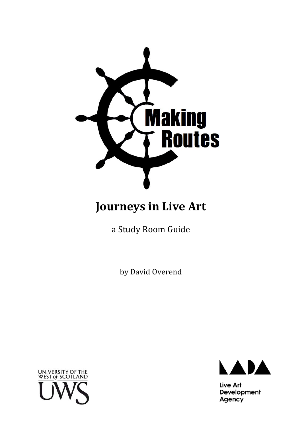

# Journeys in Live Art

a Study Room Guide

by David Overend





Live Art Development **Agency**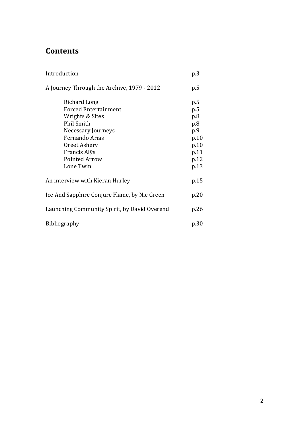# **Contents**

| Introduction                                                                                                                                                                       | p.3                                                                     |
|------------------------------------------------------------------------------------------------------------------------------------------------------------------------------------|-------------------------------------------------------------------------|
| A Journey Through the Archive, 1979 - 2012                                                                                                                                         | p.5                                                                     |
| Richard Long<br><b>Forced Entertainment</b><br>Wrights & Sites<br>Phil Smith<br>Necessary Journeys<br>Fernando Arias<br>Oreet Ashery<br>Francis Alys<br>Pointed Arrow<br>Lone Twin | p.5<br>p.5<br>p.8<br>p.8<br>p.9<br>p.10<br>p.10<br>p.11<br>p.12<br>p.13 |
| An interview with Kieran Hurley                                                                                                                                                    | p.15                                                                    |
| Ice And Sapphire Conjure Flame, by Nic Green                                                                                                                                       | p.20                                                                    |
| Launching Community Spirit, by David Overend                                                                                                                                       | p.26                                                                    |
| <b>Bibliography</b>                                                                                                                                                                | p.30                                                                    |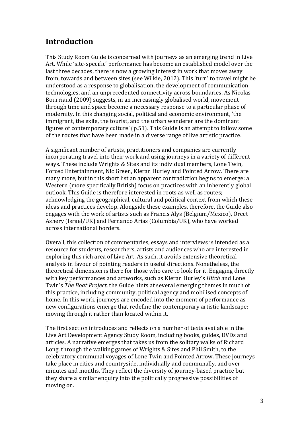# **Introduction**

This Study Room Guide is concerned with journeys as an emerging trend in Live Art. While 'site-specific' performance has become an established model over the last three decades, there is now a growing interest in work that moves away from, towards and between sites (see Wilkie, 2012). This 'turn' to travel might be understood as a response to globalisation, the development of communication technologies, and an unprecedented connectivity across boundaries. As Nicolas Bourriaud (2009) suggests, in an increasingly globalised world, movement through time and space become a necessary response to a particular phase of modernity. In this changing social, political and economic environment, 'the immigrant, the exile, the tourist, and the urban wanderer are the dominant figures of contemporary culture' (p.51). This Guide is an attempt to follow some of the routes that have been made in a diverse range of live artistic practice.

A significant number of artists, practitioners and companies are currently incorporating travel into their work and using journeys in a variety of different ways. These include Wrights & Sites and its individual members, Lone Twin, Forced Entertainment, Nic Green, Kieran Hurley and Pointed Arrow. There are many more, but in this short list an apparent contradiction begins to emerge: a Western (more specifically British) focus on practices with an inherently global outlook. This Guide is therefore interested in roots as well as routes: acknowledging the geographical, cultural and political context from which these ideas and practices develop. Alongside these examples, therefore, the Guide also engages with the work of artists such as Francis Alÿs (Belgium/Mexico), Oreet Ashery (Israel/UK) and Fernando Arias (Columbia/UK), who have worked across international borders.

Overall, this collection of commentaries, essays and interviews is intended as a resource for students, researchers, artists and audiences who are interested in exploring this rich area of Live Art. As such, it avoids extensive theoretical analysis in favour of pointing readers in useful directions. Nonetheless, the theoretical dimension is there for those who care to look for it. Engaging directly with key performances and artworks, such as Kieran Hurley's *Hitch* and Lone Twin's *The Boat Project*, the Guide hints at several emerging themes in much of this practice, including community, political agency and mobilised concepts of home. In this work, journeys are encoded into the moment of performance as new configurations emerge that redefine the contemporary artistic landscape; moving through it rather than located within it.

The first section introduces and reflects on a number of texts available in the Live Art Development Agency Study Room, including books, guides, DVDs and articles. A narrative emerges that takes us from the solitary walks of Richard Long, through the walking games of Wrights & Sites and Phil Smith, to the celebratory communal voyages of Lone Twin and Pointed Arrow. These journeys take place in cities and countryside, individually and communally, and over minutes and months. They reflect the diversity of journey-based practice but they share a similar enquiry into the politically progressive possibilities of moving on.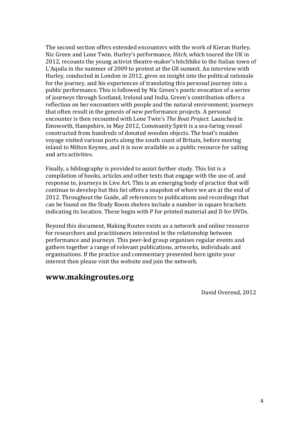The second section offers extended encounters with the work of Kieran Hurley, Nic Green and Lone Twin. Hurley's performance, *Hitch*, which toured the UK in 2012, recounts the young activist theatre-maker's hitchhike to the Italian town of L'Aquila in the summer of 2009 to protest at the G8 summit. An interview with Hurley, conducted in London in 2012, gives an insight into the political rationale for the journey, and his experiences of translating this personal journey into a public performance. This is followed by Nic Green's poetic evocation of a series of journeys through Scotland, Ireland and India. Green's contribution offers a reflection on her encounters with people and the natural environment; journeys that often result in the genesis of new performance projects. A personal encounter is then recounted with Lone Twin's The Boat Project. Launched in Emsworth, Hampshire, in May 2012, Community Spirit is a sea-faring vessel constructed from hundreds of donated wooden objects. The boat's maiden voyage visited various ports along the south coast of Britain, before moving inland to Milton Keynes, and it is now available as a public resource for sailing and arts activities.

Finally, a bibliography is provided to assist further study. This list is a compilation of books, articles and other texts that engage with the use of. and response to, journeys in Live Art. This is an emerging body of practice that will continue to develop but this list offers a snapshot of where we are at the end of 2012. Throughout the Guide, all references to publications and recordings that can be found on the Study Room shelves include a number in square brackets indicating its location. These begin with P for printed material and D for DVDs.

Beyond this document, Making Routes exists as a network and online resource for researchers and practitioners interested in the relationship between performance and journeys. This peer-led group organises regular events and gathers together a range of relevant publications, artworks, individuals and organisations. If the practice and commentary presented here ignite your interest then please visit the website and join the network.

### **www.makingroutes.org**

David Overend, 2012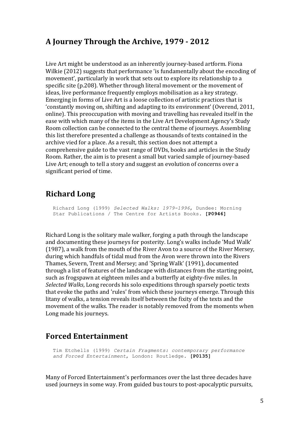# **A)Journey)Through)the)Archive,)1979 ?)2012**

Live Art might be understood as an inherently journey-based artform. Fiona Wilkie (2012) suggests that performance 'is fundamentally about the encoding of movement', particularly in work that sets out to explore its relationship to a specific site (p.208). Whether through literal movement or the movement of ideas, live performance frequently employs mobilisation as a key strategy. Emerging in forms of Live Art is a loose collection of artistic practices that is 'constantly moving on, shifting and adapting to its environment' (Overend, 2011, online). This preoccupation with moving and travelling has revealed itself in the ease with which many of the items in the Live Art Development Agency's Study Room collection can be connected to the central theme of journeys. Assembling this list therefore presented a challenge as thousands of texts contained in the archive vied for a place. As a result, this section does not attempt a comprehensive guide to the vast range of DVDs, books and articles in the Study Room. Rather, the aim is to present a small but varied sample of journey-based Live Art; enough to tell a story and suggest an evolution of concerns over a significant period of time.

# **Richard)Long**

Richard Long (1999) *Selected Walks: 1979-1996*, Dundee: Morning Star Publications / The Centre for Artists Books. **[P0946]**

Richard Long is the solitary male walker, forging a path through the landscape and documenting these journeys for posterity. Long's walks include 'Mud Walk' (1987), a walk from the mouth of the River Avon to a source of the River Mersey, during which handfuls of tidal mud from the Avon were thrown into the Rivers Thames, Severn, Trent and Mersey; and 'Spring Walk' (1991), documented through a list of features of the landscape with distances from the starting point, such as frogspawn at eighteen miles and a butterfly at eighty-five miles. In *Selected Walks*, Long records his solo expeditions through sparsely poetic texts that evoke the paths and 'rules' from which these journeys emerge. Through this litany of walks, a tension reveals itself between the fixity of the texts and the movement of the walks. The reader is notably removed from the moments when Long made his journeys.

# **Forced)Entertainment**

```
Tim Etchells (1999) Certain Fragments: contemporary performance 
and Forced Entertainment, London: Routledge. [P0135]
```
Many of Forced Entertainment's performances over the last three decades have used journeys in some way. From guided bus tours to post-apocalyptic pursuits,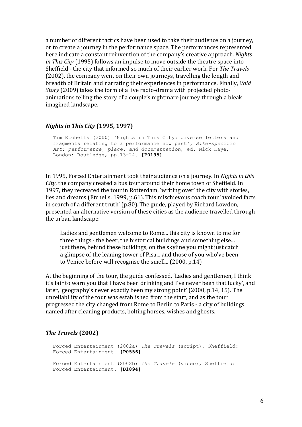a number of different tactics have been used to take their audience on a journey, or to create a journey in the performance space. The performances represented here indicate a constant reinvention of the company's creative approach. *Nights in This City* (1995) follows an impulse to move outside the theatre space into Sheffield - the city that informed so much of their earlier work. For *The Travels*  $(2002)$ , the company went on their own journeys, travelling the length and breadth of Britain and narrating their experiences in performance. Finally, *Void Story* (2009) takes the form of a live radio-drama with projected photoanimations telling the story of a couple's nightmare journey through a bleak imagined landscape.

#### *Nights in This City* (1995, 1997)

Tim Etchells (2000) 'Nights in This City: diverse letters and fragments relating to a performance now past', *Site-specific Art: performance, place, and documentation*, ed. Nick Kaye, London: Routledge, pp.13-24. **[P0195]**

In 1995, Forced Entertainment took their audience on a journey. In *Nights in this City*, the company created a bus tour around their home town of Sheffield. In 1997, they recreated the tour in Rotterdam, 'writing over' the city with stories, lies and dreams (Etchells, 1999, p.61). This mischievous coach tour 'avoided facts in search of a different truth' (p.80). The guide, played by Richard Lowdon, presented an alternative version of these cities as the audience travelled through the urban landscape:

Ladies and gentlemen welcome to Rome... this city is known to me for three things - the beer, the historical buildings and something else... just there, behind these buildings, on the skyline you might just catch a glimpse of the leaning tower of Pisa... and those of you who've been to Venice before will recognise the smell... (2000, p.14)

At the beginning of the tour, the guide confessed, 'Ladies and gentlemen, I think it's fair to warn you that I have been drinking and I've never been that lucky', and later, 'geography's never exactly been my strong point' (2000, p.14, 15). The unreliability of the tour was established from the start, and as the tour progressed the city changed from Rome to Berlin to Paris - a city of buildings named after cleaning products, bolting horses, wishes and ghosts.

#### *The'Travels***)(2002)**

Forced Entertainment (2002a) *The Travels* (script), Sheffield: Forced Entertainment. **[P0556]** Forced Entertainment (2002b) *The Travels* (video), Sheffield: Forced Entertainment. **[D1894]**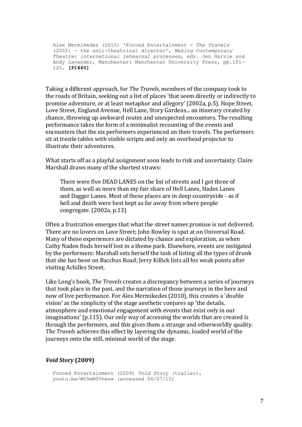Alex Mermikedes (2010) 'Forced Entertainment - *The Travels* (2002) - the anti-theatrical director', *Making Contemporary Theatre: international rehearsal processes*, eds. Jen Harvie and Andy Lavender, Manchester: Manchester University Press, pp.101- 120. **[P1460]**

Taking a different approach, for *The Travels*, members of the company took to the roads of Britain, seeking out a list of places 'that seem directly or indirectly to promise adventure, or at least metaphor and allegory' (2002a, p.5). Hope Street, Love Street, England Avenue, Hell Lane, Story Gardens... an itinerary created by chance, throwing up awkward routes and unexpected encounters. The resulting performance takes the form of a minimalist recounting of the events and encounters that the six performers experienced on their travels. The performers sit at trestle tables with visible scripts and only an overhead projector to illustrate their adventures.

What starts off as a playful assignment soon leads to risk and uncertainty. Claire Marshall draws many of the shortest straws:

There were five DEAD LANES on the list of streets and I got three of them, as well as more than my fair share of Hell Lanes, Hades Lanes and Dagger Lanes. Most of these places are in deep countryside - as if hell and death were best kept as far away from where people congregate.  $(2002a, p.13)$ 

Often a frustration emerges that what the street names promise is not delivered. There are no lovers on Love Street: John Rowley is spat at on Universal Road. Many of these experiences are dictated by chance and exploration, as when Cathy Naden finds herself lost in a theme park. Elsewhere, events are instigated by the performers: Marshall sets herself the task of listing all the types of drunk that she has been on Bacchus Road; Jerry Killick lists all his weak points after visiting Achilles Street.

Like Long's book, *The Travels* creates a discrepancy between a series of journeys that took place in the past, and the narration of those journeys in the here and now of live performance. For Alex Mermikedes (2010), this creates a 'double vision' as the simplicity of the stage aesthetic conjures up 'the details, atmosphere and emotional engagement with events that exist only in our imaginations' (p.115). Our only way of accessing the worlds that are created is through the performers, and this gives them a strange and otherworldly quality. *The Travels* achieves this effect by layering the dynamic, loaded world of the journeys onto the still, minimal world of the stage.

#### *Void'Story***)(2009)**

Forced Entertainment (2009) *Void Story* (trailer), youtu.be/WO5mM0Vneow (accessed 04/07/12)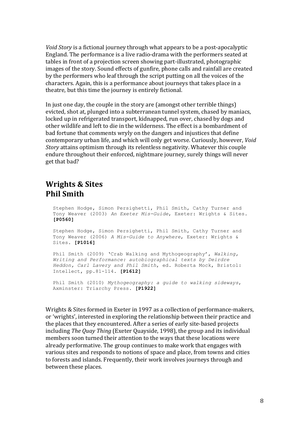*Void Story* is a fictional journey through what appears to be a post-apocalyptic England. The performance is a live radio-drama with the performers seated at tables in front of a projection screen showing part-illustrated, photographic images of the story. Sound effects of gunfire, phone calls and rainfall are created by the performers who leaf through the script putting on all the voices of the characters. Again, this is a performance about journeys that takes place in a theatre, but this time the journey is entirely fictional.

In just one day, the couple in the story are (amongst other terrible things) evicted, shot at, plunged into a subterranean tunnel system, chased by maniacs, locked up in refrigerated transport, kidnapped, run over, chased by dogs and other wildlife and left to die in the wilderness. The effect is a bombardment of bad fortune that comments wryly on the dangers and injustices that define contemporary urban life, and which will only get worse. Curiously, however, *Void Story* attains optimism through its relentless negativity. Whatever this couple endure throughout their enforced, nightmare journey, surely things will never get that bad?

# **Wrights & Sites Phil Smith**

Stephen Hodge, Simon Persighetti, Phil Smith, Cathy Turner and Tony Weaver (2003) *An Exeter Mis-Guide*, Exeter: Wrights & Sites. **[P0560]**

Stephen Hodge, Simon Persighetti, Phil Smith, Cathy Turner and Tony Weaver (2006) *A Mis-Guide to Anywhere*, Exeter: Wrights & Sites. **[P1016]**

Phil Smith (2009) 'Crab Walking and Mythogeography', *Walking, Writing and Performance: autobiographical texts by Deirdre Heddon, Carl Lavery and Phil Smith*, ed. Roberta Mock, Bristol: Intellect, pp.81-114. **[P1612]**

Phil Smith (2010) *Mythogeography: a guide to walking sideways*, Axminster: Triarchy Press. **[P1922]**

Wrights & Sites formed in Exeter in 1997 as a collection of performance-makers, or 'wrights', interested in exploring the relationship between their practice and the places that they encountered. After a series of early site-based projects including *The Quay Thing* (Exeter Quayside, 1998), the group and its individual members soon turned their attention to the ways that these locations were already performative. The group continues to make work that engages with various sites and responds to notions of space and place, from towns and cities to forests and islands. Frequently, their work involves journeys through and between these places.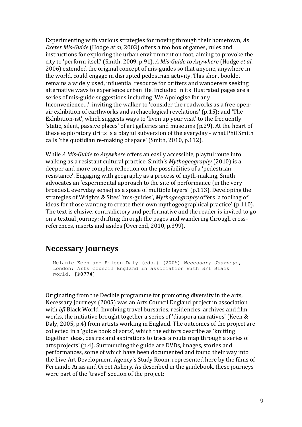Experimenting with various strategies for moving through their hometown, *An Exeter Mis-Guide* (Hodge *et al*, 2003) offers a toolbox of games, rules and instructions for exploring the urban environment on foot, aiming to provoke the city to 'perform itself' (Smith, 2009, p.91). *A Mis-Guide to Anywhere* (Hodge *et al*, 2006) extended the original concept of mis-guides so that anyone, anywhere in the world, could engage in disrupted pedestrian activity. This short booklet remains a widely used, influential resource for drifters and wanderers seeking alternative ways to experience urban life. Included in its illustrated pages are a series of mis-guide suggestions including 'We Apologise for any Inconvenience...', inviting the walker to 'consider the roadworks as a free openair exhibition of earthworks and archaeological revelations' (p.15); and 'The Exhibition-ist', which suggests ways to 'liven up your visit' to the frequently 'static, silent, passive places' of art galleries and museums (p.29). At the heart of these exploratory drifts is a playful subversion of the everyday - what Phil Smith calls 'the quotidian re-making of space' (Smith, 2010, p.112).

While *A Mis-Guide to Anywhere* offers an easily accessible, playful route into walking as a resistant cultural practice, Smith's *Mythogeography* (2010) is a deeper and more complex reflection on the possibilities of a 'pedestrian resistance'. Engaging with geography as a process of myth-making, Smith advocates an 'experimental approach to the site of performance (in the very broadest, everyday sense) as a space of multiple layers' (p.113). Developing the strategies of Wrights & Sites' 'mis-guides', *Mythogeography* offers 'a toolbag of ideas for those wanting to create their own mythogeographical practice' (p.110). The text is elusive, contradictory and performative and the reader is invited to go on a textual journey; drifting through the pages and wandering through crossreferences, inserts and asides (Overend, 2010, p.399).

# **Necessary)Journeys)**

Melanie Keen and Eileen Daly (eds.) (2005) *Necessary Journeys*, London: Arts Council England in association with BFI Black World. **[P0774]**

Originating from the Decible programme for promoting diversity in the arts, Necessary Journeys (2005) was an Arts Council England project in association with *bfi* Black World. Involving travel bursaries, residencies, archives and film works, the initiative brought together a series of 'diaspora narratives' (Keen & Daly, 2005, p.4) from artists working in England. The outcomes of the project are collected in a 'guide book of sorts', which the editors describe as 'knitting together ideas, desires and aspirations to trace a route map through a series of arts projects' (p.4). Surrounding the guide are DVDs, images, stories and performances, some of which have been documented and found their way into the Live Art Development Agency's Study Room, represented here by the films of Fernando Arias and Oreet Ashery. As described in the guidebook, these journeys were part of the 'travel' section of the project: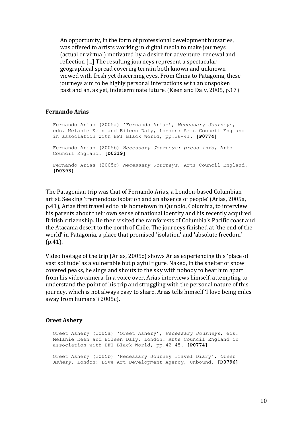An opportunity, in the form of professional development bursaries, was offered to artists working in digital media to make journeys (actual or virtual) motivated by a desire for adventure, renewal and reflection [...] The resulting journeys represent a spectacular geographical spread covering terrain both known and unknown viewed with fresh yet discerning eyes. From China to Patagonia, these journeys aim to be highly personal interactions with an unspoken past and an, as yet, indeterminate future. (Keen and Daly, 2005, p.17)

#### **Fernando)Arias**

Fernando Arias (2005a) 'Fernando Arias', *Necessary Journeys*, eds. Melanie Keen and Eileen Daly, London: Arts Council England in association with BFI Black World, pp.38-41. **[P0774]** Fernando Arias (2005b) *Necessary Journeys: press info*, Arts Council England. **[D0319]** Fernando Arias (2005c) *Necessary Journeys*, Arts Council England. **[D0393]**

The Patagonian trip was that of Fernando Arias, a London-based Columbian artist. Seeking 'tremendous isolation and an absence of people' (Arias, 2005a, p.41), Arias first travelled to his hometown in Quindío, Columbia, to interview his parents about their own sense of national identity and his recently acquired British citizenship. He then visited the rainforests of Columbia's Pacific coast and the Atacama desert to the north of Chile. The journeys finished at 'the end of the world' in Patagonia, a place that promised 'isolation' and 'absolute freedom' (p.41).

Video footage of the trip (Arias, 2005c) shows Arias experiencing this 'place of vast solitude' as a vulnerable but playful figure. Naked, in the shelter of snow covered peaks, he sings and shouts to the sky with nobody to hear him apart from his video camera. In a voice over, Arias interviews himself, attempting to understand the point of his trip and struggling with the personal nature of this journey, which is not always easy to share. Arias tells himself 'I love being miles away from humans' (2005c).

#### **Oreet Ashery**

Oreet Ashery (2005a) 'Oreet Ashery', *Necessary Journeys*, eds. Melanie Keen and Eileen Daly, London: Arts Council England in association with BFI Black World, pp.42-45. **[P0774]**

Oreet Ashery (2005b) 'Necessary Journey Travel Diary', *Oreet Ashery*, London: Live Art Development Agency, Unbound. **[D0796]**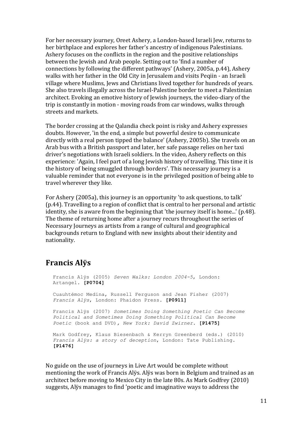For her necessary journey, Oreet Ashery, a London-based Israeli Jew, returns to her birthplace and explores her father's ancestry of indigenous Palestinians. Ashery focuses on the conflicts in the region and the positive relationships between the Jewish and Arab people. Setting out to 'find a number of connections by following the different pathways' (Ashery, 2005a, p.44), Ashery walks with her father in the Old City in Jerusalem and visits Peqiin - an Israeli village where Muslims, Jews and Christians lived together for hundreds of years. She also travels illegally across the Israel-Palestine border to meet a Palestinian architect. Evoking an emotive history of Jewish journeys, the video-diary of the trip is constantly in motion - moving roads from car windows, walks through streets and markets.

The border crossing at the Qalandia check point is risky and Ashery expresses doubts. However, 'in the end, a simple but powerful desire to communicate directly with a real person tipped the balance' (Ashery, 2005b). She travels on an Arab bus with a British passport and later, her safe passage relies on her taxi driver's negotiations with Israeli soldiers. In the video, Ashery reflects on this experience: 'Again, I feel part of a long Jewish history of travelling. This time it is the history of being smuggled through borders'. This necessary journey is a valuable reminder that not everyone is in the privileged position of being able to travel wherever they like.

For Ashery (2005a), this journey is an opportunity 'to ask questions, to talk' (p.44). Travelling to a region of conflict that is central to her personal and artistic identity, she is aware from the beginning that 'the journey itself is home...' (p.48). The theme of returning home after a journey recurs throughout the series of Necessary Journeys as artists from a range of cultural and geographical backgrounds return to England with new insights about their identity and nationality.

### **Francis)Alÿs**

Francis Alÿs (2005) *Seven Walks: London 2004-5*, London: Artangel. **[P0704]** Cuauhtémoc Medina, Russell Ferguson and Jean Fisher (2007) *Francis Alÿs*, London: Phaidon Press. **[P0911]** Francis Alÿs (2007) *Sometimes Doing Something Poetic Can Become Political and Sometimes Doing Something Political Can Become Poetic* (book and DVD)*, New York: David Zwirner*. **[P1475]** Mark Godfrey, Klaus Biesenbach & Kerryn Greenberd (eds.) (2010) *Francis Alÿs: a story of deception*, London: Tate Publishing. **[P1476]**

No guide on the use of journeys in Live Art would be complete without mentioning the work of Francis Alÿs. Alÿs was born in Belgium and trained as an architect before moving to Mexico City in the late 80s. As Mark Godfrey (2010) suggests, Alÿs manages to find 'poetic and imaginative ways to address the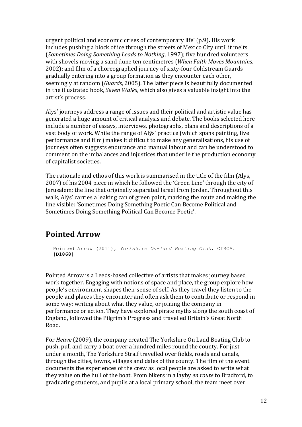urgent political and economic crises of contemporary life' (p.9). His work includes pushing a block of ice through the streets of Mexico City until it melts (*Sometimes Doing Something Leads to Nothing*, 1997); five hundred volunteers with shovels moving a sand dune ten centimetres (*When Faith Moves Mountains*, 2002); and film of a choreographed journey of sixty-four Coldstream Guards gradually entering into a group formation as they encounter each other, seemingly at random (*Guards*, 2005). The latter piece is beautifully documented in the illustrated book, *Seven Walks*, which also gives a valuable insight into the artist's process.

Alÿs' journeys address a range of issues and their political and artistic value has generated a huge amount of critical analysis and debate. The books selected here include a number of essays, interviews, photographs, plans and descriptions of a vast body of work. While the range of Alÿs' practice (which spans painting, live performance and film) makes it difficult to make any generalisations, his use of journeys often suggests endurance and manual labour and can be understood to comment on the imbalances and injustices that underlie the production economy of capitalist societies.

The rationale and ethos of this work is summarised in the title of the film (Alÿs, 2007) of his 2004 piece in which he followed the 'Green Line' through the city of Jerusalem; the line that originally separated Israel from Jordan. Throughout this walk, Alÿs' carries a leaking can of green paint, marking the route and making the line visible: 'Sometimes Doing Something Poetic Can Become Political and Sometimes Doing Something Political Can Become Poetic'.

# **Pointed)Arrow**

```
Pointed Arrow (2011), Yorkshire On-land Boating Club, CIRCA. 
[D1868]
```
Pointed Arrow is a Leeds-based collective of artists that makes journey based work together. Engaging with notions of space and place, the group explore how people's environment shapes their sense of self. As they travel they listen to the people and places they encounter and often ask them to contribute or respond in some way: writing about what they value, or joining the company in performance or action. They have explored pirate myths along the south coast of England, followed the Pilgrim's Progress and travelled Britain's Great North Road.

For *Heave* (2009), the company created The Yorkshire On Land Boating Club to push, pull and carry a boat over a hundred miles round the county. For just under a month, The Yorkshire Straif travelled over fields, roads and canals, through the cities, towns, villages and dales of the county. The film of the event documents the experiences of the crew as local people are asked to write what they value on the hull of the boat. From bikers in a layby *en route* to Bradford, to graduating students, and pupils at a local primary school, the team meet over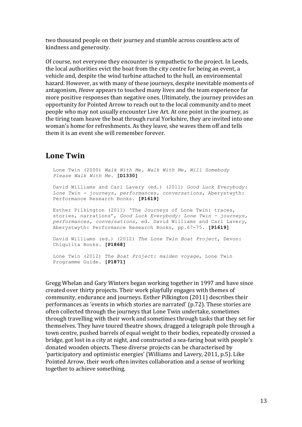two thousand people on their journey and stumble across countless acts of kindness and generosity.

Of course, not everyone they encounter is sympathetic to the project. In Leeds, the local authorities evict the boat from the city centre for being an event, a vehicle and, despite the wind turbine attached to the hull, an environmental hazard. However, as with many of these journeys, despite inevitable moments of antagonism, *Heave* appears to touched many lives and the team experience far more positive responses than negative ones. Ultimately, the journey provides an opportunity for Pointed Arrow to reach out to the local community and to meet people who may not usually encounter Live Art. At one point in the journey, as the tiring team heave the boat through rural Yorkshire, they are invited into one woman's home for refreshments. As they leave, she waves them off and tells them it is an event she will remember forever.

### **Lone)Twin**

Lone Twin (2000) *Walk With Me, Walk With Me, Will Somebody Please Walk With Me*. **[D1330]**

David Williams and Carl Lavery (ed.) (2011) *Good Luck Everybody: Lone Twin - journeys, performances, conversations*, Aberystwyth: Performance Research Books. **[P1619]**

Esther Pilkington (2011) 'The Journeys of Lone Twin: traces, stories, narrations', *Good Luck Everybody: Lone Twin - journeys, performances, conversations*, ed. David Williams and Carl Lavery, Aberystwyth: Performance Research Books, pp.67-75. **[P1619]**

David Williams (ed.) (2012) *The Lone Twin Boat Project*, Devon: Chiquilta Books. **[P1868]**

Lone Twin (2012) *The Boat Project: maiden voyage*, Lone Twin Programme Guide. **[P1871]**

Gregg Whelan and Gary Winters began working together in 1997 and have since created over thirty projects. Their work playfully engages with themes of community, endurance and journeys. Esther Pilkington (2011) describes their performances as 'events in which stories are narrated' (p.72). These stories are often collected through the journeys that Lone Twin undertake, sometimes through travelling with their work and sometimes through tasks that they set for themselves. They have toured theatre shows, dragged a telegraph pole through a town centre, pushed barrels of equal weight to their bodies, repeatedly crossed a bridge, got lost in a city at night, and constructed a sea-faring boat with people's donated wooden objects. These diverse projects can be characterised by 'participatory and optimistic energies' (Williams and Lavery, 2011, p.5). Like Pointed Arrow, their work often invites collaboration and a sense of working together to achieve something.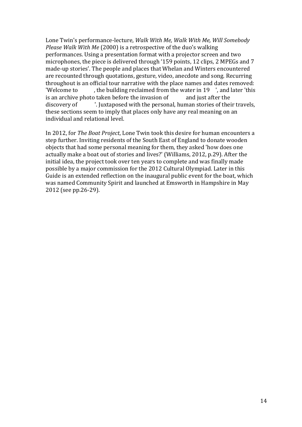Lone Twin's performance-lecture, *Walk With Me, Walk With Me, Will Somebody Please Walk With Me* (2000) is a retrospective of the duo's walking performances. Using a presentation format with a projector screen and two microphones, the piece is delivered through '159 points, 12 clips, 2 MPEGs and 7 made-up stories'. The people and places that Whelan and Winters encountered are recounted through quotations, gesture, video, anecdote and song. Recurring throughout is an official tour narrative with the place names and dates removed: 'Welcome to  $\blacksquare$ , the building reclaimed from the water in 19 $\blacksquare$ , and later 'this is an archive photo taken before the invasion of  $\qquad$  and just after the discovery of  $\blacksquare$ . Juxtaposed with the personal, human stories of their travels, these sections seem to imply that places only have any real meaning on an individual and relational level.

In 2012, for *The Boat Project*, Lone Twin took this desire for human encounters a step further. Inviting residents of the South East of England to donate wooden objects that had some personal meaning for them, they asked 'how does one actually make a boat out of stories and lives?' (Williams, 2012, p.29). After the initial idea, the project took over ten years to complete and was finally made possible by a major commission for the 2012 Cultural Olympiad. Later in this Guide is an extended reflection on the inaugural public event for the boat, which was named Community Spirit and launched at Emsworth in Hampshire in May 2012 (see pp.26-29).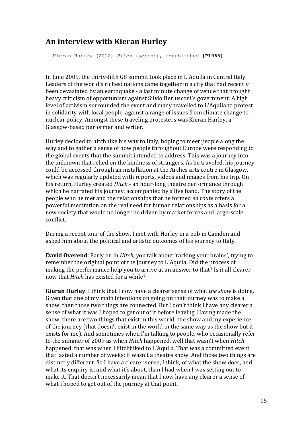# **An)interview)with)Kieran)Hurley**

Kieran Hurley (2012) *Hitch* (script), unpublished **[P1965]**

In June 2009, the thirty-fifth G8 summit took place in L'Aquila in Central Italy. Leaders of the world's richest nations came together in a city that had recently been devastated by an earthquake - a last minute change of venue that brought heavy criticism of opportunism against Silvio Berlusconi's government. A high level of activism surrounded the event and many travelled to L'Aquila to protest in solidarity with local people, against a range of issues from climate change to nuclear policy. Amongst these traveling protesters was Kieran Hurley, a Glasgow-based performer and writer.

Hurley decided to hitchhike his way to Italy, hoping to meet people along the way and to gather a sense of how people throughout Europe were responding to the global events that the summit intended to address. This was a journey into the unknown that relied on the kindness of strangers. As he traveled, his journey could be accessed through an installation at the Arches arts centre in Glasgow, which was regularly updated with reports, videos and images from his trip. On his return, Hurley created *Hitch* - an hour-long theatre performance through which he narrated his journey, accompanied by a live band. The story of the people who he met and the relationships that he formed *en route* offers a powerful meditation on the real need for human relationships as a basis for a new society that would no longer be driven by market forces and large-scale conflict.!

During a recent tour of the show, I met with Hurley in a pub in Camden and asked him about the political and artistic outcomes of his journey to Italy.

**David Overend**: Early on in *Hitch*, you talk about 'racking your brains', trying to remember the original point of the journey to L'Aquila. Did the process of making the performance help you to arrive at an answer to that? Is it all clearer now that *Hitch* has existed for a while?

**Kieran Hurley**: I think that I now have a clearer sense of what *the show* is doing. Given that one of my main intentions on going on that journey was to make a show, then those two things are connected. But I don't think I have any clearer a sense of what it was I hoped to get out of it before leaving. Having made the show, there are two things that exist in this world: the show and my experience of the journey (that doesn't exist in the world in the same way as the show but it exists for me). And sometimes when I'm talking to people, who occasionally refer to the summer of 2009 as when *Hitch* happened, well that wasn't when *Hitch* happened, that was when I hitchhiked to L'Aquila. That was a committed event that lasted a number of weeks: it wasn't a theatre show. And those two things are distinctly different. So I have a clearer sense, I think, of what the show does, and what its enquiry is, and what it's about, than I had when I was setting out to make it. That doesn't necessarily mean that I now have any clearer a sense of what I hoped to get out of the journey at that point.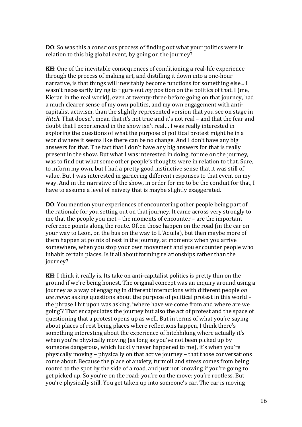**DO**: So was this a conscious process of finding out what your politics were in relation to this big global event, by going on the journey?

**KH**: One of the inevitable consequences of conditioning a real-life experience through the process of making art, and distilling it down into a one-hour narrative, is that things will inevitably become functions for something else... I wasn't necessarily trying to figure out *my* position on the politics of that. I (me, Kieran in the real world), even at twenty-three before going on that journey, had a much clearer sense of my own politics, and my own engagement with anticapitalist activism, than the slightly represented version that you see on stage in *Hitch*. That doesn't mean that it's not true and it's not real – and that the fear and doubt that I experienced in the show isn't real... I was really interested in exploring the questions of what the purpose of political protest might be in a world where it seems like there can be no change. And I don't have any big answers for that. The fact that I don't have any big answers for that is really present in the show. But what I was interested in doing, for me on the journey, was to find out what some other people's thoughts were in relation to that. Sure, to inform my own, but I had a pretty good instinctive sense that it was still of value. But I was interested in garnering different responses to that event on my way. And in the narrative of the show, in order for me to be the conduit for that, I have to assume a level of naivety that is maybe slightly exaggerated.

**DO**: You mention your experiences of encountering other people being part of the rationale for you setting out on that journey. It came across very strongly to me that the people you met – the moments of encounter – are the important reference points along the route. Often those happen on the road (in the car on your way to Leon, on the bus on the way to L'Aquila), but then maybe more of them happen at points of rest in the journey, at moments when you arrive somewhere, when you stop your own movement and you encounter people who inhabit certain places. Is it all about forming relationships rather than the journey?

**KH**: I think it really is. Its take on anti-capitalist politics is pretty thin on the ground if we're being honest. The original concept was an inquiry around using a journey as a way of engaging in different interactions with different people *on the move*: asking questions about the purpose of political protest in this world – the phrase I hit upon was asking, 'where have we come from and where are we going'? That encapsulates the journey but also the act of protest and the space of questioning that a protest opens up as well. But in terms of what you're saying about places of rest being places where reflections happen. I think there's something interesting about the experience of hitchhiking where actually it's when you're physically moving (as long as you've not been picked up by someone dangerous, which luckily never happened to me), it's when you're physically moving – physically on that active journey – that those conversations come about. Because the place of anxiety, turmoil and stress comes from being rooted to the spot by the side of a road, and just not knowing if you're going to get picked up. So you're on the road; you're on the move; you're rootless. But you're physically still. You get taken up into someone's car. The car is moving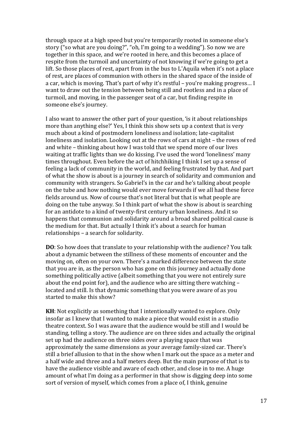through space at a high speed but you're temporarily rooted in someone else's story ("so what are you doing?", "oh, I'm going to a wedding"). So now we are together in this space, and we're rooted in here, and this becomes a place of respite from the turmoil and uncertainty of not knowing if we're going to get a lift. So those places of rest, apart from in the bus to L'Aquila when it's not a place of rest, are places of communion with others in the shared space of the inside of a car, which is moving. That's part of why it's restful – you're making progress... I want to draw out the tension between being still and rootless and in a place of turmoil, and moving, in the passenger seat of a car, but finding respite in someone else's journey.

I also want to answer the other part of your question, 'is it about relationships more than anything else?' Yes, I think this show sets up a context that is very much about a kind of postmodern loneliness and isolation; late-capitalist loneliness and isolation. Looking out at the rows of cars at night – the rows of red and white – thinking about how I was told that we spend more of our lives waiting at traffic lights than we do kissing. I've used the word 'loneliness' many times throughout. Even before the act of hitchhiking I think I set up a sense of feeling a lack of community in the world, and feeling frustrated by that. And part of what the show is about is a journey in search of solidarity and communion and community with strangers. So Gabriel's in the car and he's talking about people on the tube and how nothing would ever move forwards if we all had these force fields around us. Now of course that's not literal but that is what people are doing on the tube anyway. So I think part of what the show is about is searching for an antidote to a kind of twenty-first century urban loneliness. And it so happens that communion and solidarity around a broad shared political cause is the medium for that. But actually I think it's about a search for human relationships – a search for solidarity.

**DO**: So how does that translate to your relationship with the audience? You talk about a dynamic between the stillness of these moments of encounter and the moving on, often on your own. There's a marked difference between the state that you are in, as the person who has gone on this journey and actually done something politically active (albeit something that you were not entirely sure about the end point for), and the audience who are sitting there watching – located and still. Is that dynamic something that you were aware of as you started to make this show?

**KH:** Not explicitly as something that I intentionally wanted to explore. Only insofar as I knew that I wanted to make a piece that would exist in a studio theatre context. So I was aware that the audience would be still and I would be standing, telling a story. The audience are on three sides and actually the original set up had the audience on three sides over a playing space that was approximately the same dimensions as your average family-sized car. There's still a brief allusion to that in the show when I mark out the space as a meter and a half wide and three and a half meters deep. But the main purpose of that is to have the audience visible and aware of each other, and close in to me. A huge amount of what I'm doing as a performer in that show is digging deep into some sort of version of myself, which comes from a place of, I think, genuine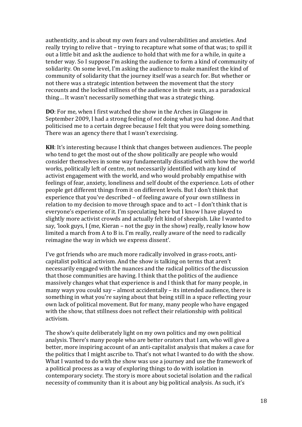authenticity, and is about my own fears and vulnerabilities and anxieties. And really trying to relive that – trying to recapture what some of that was; to spill it out a little bit and ask the audience to hold that with me for a while, in quite a tender way. So I suppose I'm asking the audience to form a kind of community of solidarity. On some level, I'm asking the audience to make manifest the kind of community of solidarity that the journey itself was a search for. But whether or not there was a strategic intention between the movement that the story recounts and the locked stillness of the audience in their seats, as a paradoxical thing... It wasn't necessarily something that was a strategic thing.

**DO**: For me, when I first watched the show in the Arches in Glasgow in September 2009, I had a strong feeling of *not* doing what you had done. And that politicised me to a certain degree because I felt that you were doing something. There was an agency there that I wasn't exercising.

**KH**: It's interesting because I think that changes between audiences. The people who tend to get the most out of the show politically are people who would consider themselves in some way fundamentally dissatisfied with how the world works, politically left of centre, not necessarily identified with any kind of activist engagement with the world, and who would probably empathise with feelings of fear, anxiety, loneliness and self doubt of the experience. Lots of other people get different things from it on different levels. But I don't think that experience that you've described – of feeling aware of your own stillness in relation to my decision to move through space and to act – I don't think that is everyone's experience of it. I'm speculating here but I know I have played to slightly more activist crowds and actually felt kind of sheepish. Like I wanted to say, 'look guys, I (me, Kieran – not the guy in the show) really, really know how limited a march from A to B is. I'm really, really aware of the need to radically reimagine the way in which we express dissent'.

I've got friends who are much more radically involved in grass-roots, anticapitalist political activism. And the show is talking on terms that aren't necessarily engaged with the nuances and the radical politics of the discussion that those communities are having. I think that the politics of the audience massively changes what that experience is and I think that for many people, in many ways you could say – almost accidentally – its intended audience, there is something in what you're saying about that being still in a space reflecting your own lack of political movement. But for many, many people who have engaged with the show, that stillness does not reflect their relationship with political activism.!

The show's quite deliberately light on my own politics and my own political analysis. There's many people who are better orators that I am, who will give a better, more inspiring account of an anti-capitalist analysis that makes a case for the politics that I might ascribe to. That's not what I wanted to do with the show. What I wanted to do with the show was use a journey and use the framework of a political process as a way of exploring things to do with isolation in contemporary society. The story is more about societal isolation and the radical necessity of community than it is about any big political analysis. As such, it's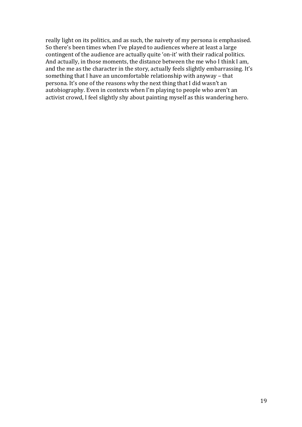really light on its politics, and as such, the naivety of my persona is emphasised. So there's been times when I've played to audiences where at least a large contingent of the audience are actually quite 'on-it' with their radical politics. And actually, in those moments, the distance between the me who I think I am, and the me as the character in the story, actually feels slightly embarrassing. It's something that I have an uncomfortable relationship with anyway – that persona. It's one of the reasons why the next thing that I did wasn't an autobiography. Even in contexts when I'm playing to people who aren't an activist crowd, I feel slightly shy about painting myself as this wandering hero.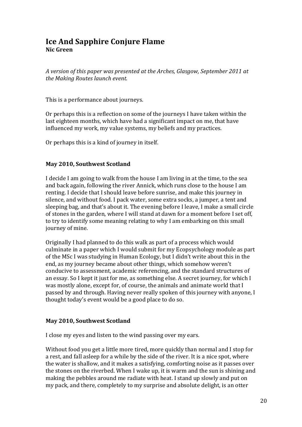### **Ice And Sapphire Conjure Flame Nic)Green**

A version of this paper was presented at the Arches, Glasgow, September 2011 at *the Making Routes launch event.* 

This is a performance about journeys.

Or perhaps this is a reflection on some of the journeys I have taken within the last eighteen months, which have had a significant impact on me, that have influenced my work, my value systems, my beliefs and my practices.

Or perhaps this is a kind of journey in itself.

### **May 2010, Southwest Scotland**

I decide I am going to walk from the house I am living in at the time, to the sea and back again, following the river Annick, which runs close to the house I am renting. I decide that I should leave before sunrise, and make this journey in silence, and without food. I pack water, some extra socks, a jumper, a tent and sleeping bag, and that's about it. The evening before I leave, I make a small circle of stones in the garden, where I will stand at dawn for a moment before I set off, to try to identify some meaning relating to why I am embarking on this small journey of mine.

Originally I had planned to do this walk as part of a process which would culminate in a paper which I would submit for my Ecopsychology module as part of the MSc I was studying in Human Ecology, but I didn't write about this in the end, as my journey became about other things, which somehow weren't conducive to assessment, academic referencing, and the standard structures of an essay. So I kept it just for me, as something else. A secret journey, for which I was mostly alone, except for, of course, the animals and animate world that I passed by and through. Having never really spoken of this journey with anyone, I thought today's event would be a good place to do so.

### **May 2010, Southwest Scotland**

I close my eyes and listen to the wind passing over my ears.

Without food you get a little more tired, more quickly than normal and I stop for a rest, and fall asleep for a while by the side of the river. It is a nice spot, where the water is shallow, and it makes a satisfying, comforting noise as it passes over the stones on the riverbed. When I wake up, it is warm and the sun is shining and making the pebbles around me radiate with heat. I stand up slowly and put on my pack, and there, completely to my surprise and absolute delight, is an otter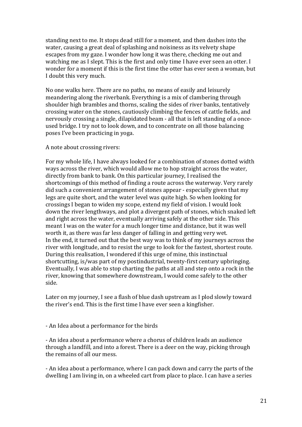standing next to me. It stops dead still for a moment, and then dashes into the water, causing a great deal of splashing and noisiness as its velvety shape escapes from my gaze. I wonder how long it was there, checking me out and watching me as I slept. This is the first and only time I have ever seen an otter. I wonder for a moment if this is the first time the otter has ever seen a woman, but I doubt this very much.

No one walks here. There are no paths, no means of easily and leisurely meandering along the riverbank. Everything is a mix of clambering through shoulder high brambles and thorns, scaling the sides of river banks, tentatively crossing water on the stones, cautiously climbing the fences of cattle fields, and nervously crossing a single, dilapidated beam - all that is left standing of a onceused bridge. I try not to look down, and to concentrate on all those balancing poses I've been practicing in yoga.

#### A note about crossing rivers:

For my whole life. I have always looked for a combination of stones dotted width ways across the river, which would allow me to hop straight across the water, directly from bank to bank. On this particular journey. I realised the shortcomings of this method of finding a route across the waterway. Very rarely did such a convenient arrangement of stones appear - especially given that my legs are quite short, and the water level was quite high. So when looking for crossings I began to widen my scope, extend my field of vision. I would look down the river lengthways, and plot a divergent path of stones, which snaked left and right across the water, eventually arriving safely at the other side. This meant I was on the water for a much longer time and distance, but it was well worth it, as there was far less danger of falling in and getting very wet. In the end, it turned out that the best way was to think of my journeys across the river with longitude, and to resist the urge to look for the fastest, shortest route. During this realisation, I wondered if this urge of mine, this instinctual shortcutting, is/was part of my postindustrial, twenty-first century upbringing. Eventually, I was able to stop charting the paths at all and step onto a rock in the river, knowing that somewhere downstream, I would come safely to the other side.

Later on my journey, I see a flash of blue dash upstream as I plod slowly toward the river's end. This is the first time I have ever seen a kingfisher.

- An Idea about a performance for the birds

- An idea about a performance where a chorus of children leads an audience through a landfill, and into a forest. There is a deer on the way, picking through the remains of all our mess.

- An idea about a performance, where I can pack down and carry the parts of the dwelling I am living in, on a wheeled cart from place to place. I can have a series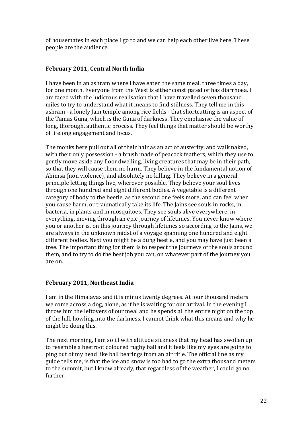of housemates in each place I go to and we can help each other live here. These people are the audience.

#### February 2011, Central North India

I have been in an ashram where I have eaten the same meal, three times a day, for one month. Everyone from the West is either constipated or has diarrhoea. I am faced with the ludicrous realisation that I have travelled seven thousand miles to try to understand what it means to find stillness. They tell me in this ashram - a lonely Jain temple among rice fields - that shortcutting is an aspect of the Tamas Guna, which is the Guna of darkness. They emphasise the value of long, thorough, authentic process. They feel things that matter should be worthy of lifelong engagement and focus.

The monks here pull out all of their hair as an act of austerity, and walk naked, with their only possession - a brush made of peacock feathers, which they use to gently move aside any floor dwelling, living creatures that may be in their path, so that they will cause them no harm. They believe in the fundamental notion of Ahimsa (non violence), and absolutely no killing. They believe in a general principle letting things live, wherever possible. They believe your soul lives through one hundred and eight different bodies. A vegetable is a different category of body to the beetle, as the second one feels more, and can feel when you cause harm, or traumatically take its life. The Jains see souls in rocks, in bacteria, in plants and in mosquitoes. They see souls alive everywhere, in everything, moving through an epic journey of lifetimes. You never know where you or another is, on this journey through lifetimes so according to the Jains, we are always in the unknown midst of a voyage spanning one hundred and eight different bodies. Next you might be a dung beetle, and you may have just been a tree. The important thing for them is to respect the journeys of the souls around them, and to try to do the best job you can, on whatever part of the journey you are!on.

### **February)2011,)Northeast)India**

I am in the Himalayas and it is minus twenty degrees. At four thousand meters we come across a dog, alone, as if he is waiting for our arrival. In the evening I throw him the leftovers of our meal and he spends all the entire night on the top of the hill, howling into the darkness. I cannot think what this means and why he might be doing this.

The next morning, I am so ill with altitude sickness that my head has swollen up to resemble a beetroot coloured rugby ball and it feels like my eyes are going to ping out of my head like ball bearings from an air rifle. The official line as my guide tells me, is that the ice and snow is too bad to go the extra thousand meters to the summit, but I know already, that regardless of the weather, I could go no further.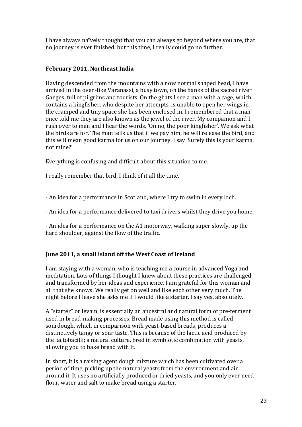I have always naïvely thought that you can always go beyond where you are, that no journey is ever finished, but this time, I really could go no further.

#### **February)2011,)Northeast)India**

Having descended from the mountains with a now normal shaped head, I have arrived in the oven-like Varanassi, a busy town, on the banks of the sacred river Ganges, full of pilgrims and tourists. On the ghats I see a man with a cage, which contains a kingfisher, who despite her attempts, is unable to open her wings in the cramped and tiny space she has been enclosed in. I remembered that a man once told me they are also known as the jewel of the river. My companion and I rush over to man and I hear the words, 'On no, the poor kingfisher'. We ask what the birds are for. The man tells us that if we pay him, he will release the bird, and this will mean good karma for us on our journey. I say 'Surely this is your karma, not mine?'

Everything is confusing and difficult about this situation to me.

I really remember that bird, I think of it all the time.

- An idea for a performance in Scotland, where I try to swim in every loch.

- An idea for a performance delivered to taxi drivers whilst they drive you home.

- An idea for a performance on the A1 motorway, walking super slowly, up the hard shoulder, against the flow of the traffic.

### **June 2011, a small island off the West Coast of Ireland**

I am staying with a woman, who is teaching me a course in advanced Yoga and meditation. Lots of things I thought I knew about these practices are challenged and transformed by her ideas and experience. I am grateful for this woman and all that she knows. We really get on well and like each other very much. The night before I leave she asks me if I would like a starter. I say yes, absolutely.

A "starter" or levain, is essentially an ancestral and natural form of pre-ferment used in bread-making processes. Bread made using this method is called sourdough, which in comparison with yeast-based breads, produces a distinctively tangy or sour taste. This is because of the lactic acid produced by the lactobacilli; a natural culture, bred in symbiotic combination with yeasts, allowing you to bake bread with it.

In short, it is a raising agent dough mixture which has been cultivated over a period of time, picking up the natural yeasts from the environment and air around it. It uses no artificially produced or dried yeasts, and you only ever need flour, water and salt to make bread using a starter.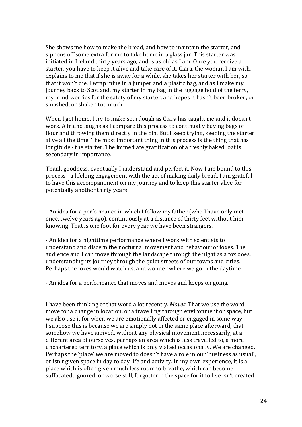She shows me how to make the bread, and how to maintain the starter, and siphons off some extra for me to take home in a glass jar. This starter was initiated in Ireland thirty years ago, and is as old as I am. Once you receive a starter, you have to keep it alive and take care of it. Ciara, the woman I am with, explains to me that if she is away for a while, she takes her starter with her, so that it won't die. I wrap mine in a jumper and a plastic bag, and as I make my journey back to Scotland, my starter in my bag in the luggage hold of the ferry, my mind worries for the safety of my starter, and hopes it hasn't been broken, or smashed, or shaken too much.

When I get home, I try to make sourdough as Ciara has taught me and it doesn't work. A friend laughs as I compare this process to continually buying bags of flour and throwing them directly in the bin. But I keep trying, keeping the starter alive all the time. The most important thing in this process is the thing that has longitude - the starter. The immediate gratification of a freshly baked loaf is secondary in importance.

Thank goodness, eventually I understand and perfect it. Now I am bound to this process - a lifelong engagement with the act of making daily bread. I am grateful to have this accompaniment on my journey and to keep this starter alive for potentially another thirty years.

- An idea for a performance in which I follow my father (who I have only met once, twelve years ago), continuously at a distance of thirty feet without him knowing. That is one foot for every year we have been strangers.

- An idea for a nighttime performance where I work with scientists to understand and discern the nocturnal movement and behaviour of foxes. The audience and I can move through the landscape through the night as a fox does, understanding its journey through the quiet streets of our towns and cities. Perhaps the foxes would watch us, and wonder where we go in the daytime.

- An idea for a performance that moves and moves and keeps on going.

I have been thinking of that word a lot recently. *Moves*. That we use the word move for a change in location, or a travelling through environment or space, but we also use it for when we are emotionally affected or engaged in some way. I suppose this is because we are simply not in the same place afterward, that somehow we have arrived, without any physical movement necessarily, at a different area of ourselves, perhaps an area which is less travelled to, a more unchartered territory, a place which is only visited occasionally. We are changed. Perhaps the 'place' we are moved to doesn't have a role in our 'business as usual', or isn't given space in day to day life and activity. In my own experience, it is a place which is often given much less room to breathe, which can become suffocated, ignored, or worse still, forgotten if the space for it to live isn't created.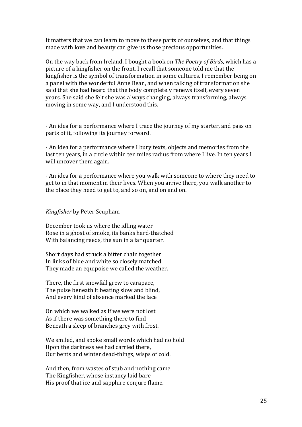It matters that we can learn to move to these parts of ourselves, and that things made with love and beauty can give us those precious opportunities.

On the way back from Ireland, I bought a book on *The Poetry of Birds*, which has a picture of a kingfisher on the front. I recall that someone told me that the kingfisher is the symbol of transformation in some cultures. I remember being on a panel with the wonderful Anne Bean, and when talking of transformation she said that she had heard that the body completely renews itself, every seven years. She said she felt she was always changing, always transforming, always moving in some way, and I understood this.

- An idea for a performance where I trace the journey of my starter, and pass on parts of it, following its journey forward.

- An idea for a performance where I bury texts, objects and memories from the last ten years, in a circle within ten miles radius from where I live. In ten years I will uncover them again.

- An idea for a performance where you walk with someone to where they need to get to in that moment in their lives. When you arrive there, you walk another to the place they need to get to, and so on, and on and on.

#### *Kingfisher by Peter Scupham*

December took us where the idling water Rose in a ghost of smoke, its banks hard-thatched With balancing reeds, the sun in a far quarter.

Short days had struck a bitter chain together In links of blue and white so closely matched They made an equipoise we called the weather.

There, the first snowfall grew to carapace, The pulse beneath it beating slow and blind. And every kind of absence marked the face

On which we walked as if we were not lost As if there was something there to find Beneath a sleep of branches grey with frost.

We smiled, and spoke small words which had no hold Upon the darkness we had carried there, Our bents and winter dead-things, wisps of cold.

And then, from wastes of stub and nothing came The Kingfisher, whose instancy laid bare His proof that ice and sapphire conjure flame.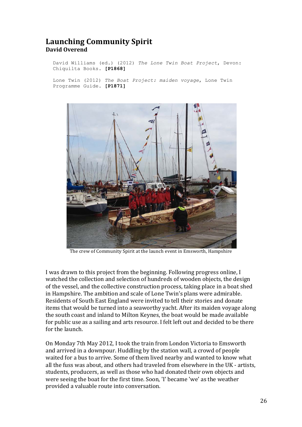### **Launching)Community)Spirit** David Overend

David Williams (ed.) (2012) *The Lone Twin Boat Project*, Devon: Chiquilta Books. **[P1868]**

Lone Twin (2012) *The Boat Project: maiden voyage*, Lone Twin Programme Guide. **[P1871]**



The crew of Community Spirit at the launch event in Emsworth, Hampshire

I was drawn to this project from the beginning. Following progress online, I watched the collection and selection of hundreds of wooden objects, the design of the vessel, and the collective construction process, taking place in a boat shed in Hampshire. The ambition and scale of Lone Twin's plans were admirable. Residents of South East England were invited to tell their stories and donate items that would be turned into a seaworthy yacht. After its maiden voyage along the south coast and inland to Milton Keynes, the boat would be made available for public use as a sailing and arts resource. I felt left out and decided to be there for the launch.

On Monday 7th May 2012, I took the train from London Victoria to Emsworth and arrived in a downpour. Huddling by the station wall, a crowd of people waited for a bus to arrive. Some of them lived nearby and wanted to know what all the fuss was about, and others had traveled from elsewhere in the UK - artists, students, producers, as well as those who had donated their own objects and were seeing the boat for the first time. Soon, 'I' became 'we' as the weather provided a valuable route into conversation.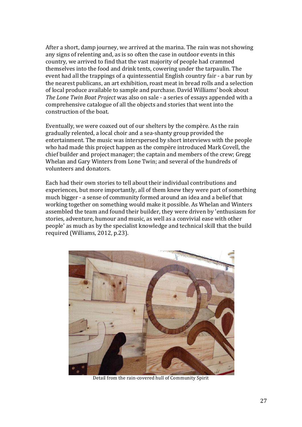After a short, damp journey, we arrived at the marina. The rain was not showing any signs of relenting and, as is so often the case in outdoor events in this country, we arrived to find that the vast majority of people had crammed themselves into the food and drink tents, cowering under the tarpaulin. The event had all the trappings of a quintessential English country fair - a bar run by the nearest publicans, an art exhibition, roast meat in bread rolls and a selection of local produce available to sample and purchase. David Williams' book about *The Lone Twin Boat Project was also on sale - a series of essays appended with a* comprehensive catalogue of all the objects and stories that went into the construction of the boat.

Eventually, we were coaxed out of our shelters by the compère. As the rain gradually relented, a local choir and a sea-shanty group provided the entertainment. The music was interspersed by short interviews with the people who had made this project happen as the compère introduced Mark Covell, the chief builder and project manager; the captain and members of the crew; Gregg Whelan and Gary Winters from Lone Twin; and several of the hundreds of volunteers and donators.

Each had their own stories to tell about their individual contributions and experiences, but more importantly, all of them knew they were part of something much bigger - a sense of community formed around an idea and a belief that working together on something would make it possible. As Whelan and Winters assembled the team and found their builder, they were driven by 'enthusiasm for stories, adventure, humour and music, as well as a convivial ease with other people' as much as by the specialist knowledge and technical skill that the build required (Williams, 2012, p.23).



Detail from the rain-covered hull of Community Spirit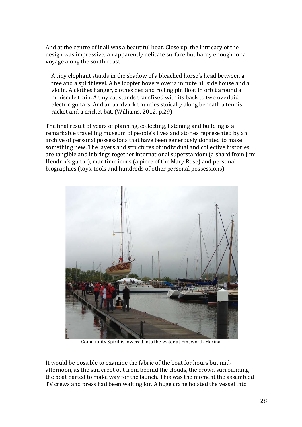And at the centre of it all was a beautiful boat. Close up, the intricacy of the design was impressive; an apparently delicate surface but hardy enough for a voyage along the south coast:

A tiny elephant stands in the shadow of a bleached horse's head between a tree and a spirit level. A helicopter hovers over a minute hillside house and a violin. A clothes hanger, clothes peg and rolling pin float in orbit around a miniscule train. A tiny cat stands transfixed with its back to two overlaid electric guitars. And an aardvark trundles stoically along beneath a tennis racket and a cricket bat. (Williams, 2012, p.29)

The final result of years of planning, collecting, listening and building is a remarkable travelling museum of people's lives and stories represented by an archive of personal possessions that have been generously donated to make something new. The layers and structures of individual and collective histories are tangible and it brings together international superstardom (a shard from Jimi Hendrix's guitar), maritime icons (a piece of the Mary Rose) and personal biographies (toys, tools and hundreds of other personal possessions).



Community Spirit is lowered into the water at Emsworth Marina

It would be possible to examine the fabric of the boat for hours but midafternoon, as the sun crept out from behind the clouds, the crowd surrounding the boat parted to make way for the launch. This was the moment the assembled TV crews and press had been waiting for. A huge crane hoisted the vessel into the vessel into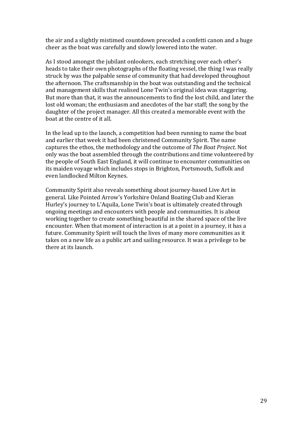the air and a slightly mistimed countdown preceded a confetti canon and a huge cheer as the boat was carefully and slowly lowered into the water.

As I stood amongst the jubilant onlookers, each stretching over each other's heads to take their own photographs of the floating vessel, the thing I was really struck by was the palpable sense of community that had developed throughout the afternoon. The craftsmanship in the boat was outstanding and the technical and management skills that realised Lone Twin's original idea was staggering. But more than that, it was the announcements to find the lost child, and later the lost old woman; the enthusiasm and anecdotes of the bar staff; the song by the daughter of the project manager. All this created a memorable event with the boat at the centre of it all.

In the lead up to the launch, a competition had been running to name the boat and earlier that week it had been christened Community Spirit. The name captures the ethos, the methodology and the outcome of *The Boat Project*. Not only was the boat assembled through the contributions and time volunteered by the people of South East England, it will continue to encounter communities on its maiden voyage which includes stops in Brighton, Portsmouth, Suffolk and even landlocked Milton Keynes.

Community Spirit also reveals something about journey-based Live Art in general. Like Pointed Arrow's Yorkshire Onland Boating Club and Kieran Hurley's journey to L'Aquila, Lone Twin's boat is ultimately created through ongoing meetings and encounters with people and communities. It is about working together to create something beautiful in the shared space of the live encounter. When that moment of interaction is at a point in a journey, it has a future. Community Spirit will touch the lives of many more communities as it takes on a new life as a public art and sailing resource. It was a privilege to be there at its launch.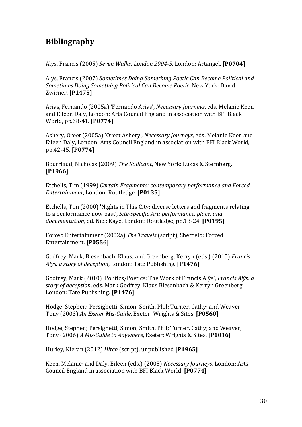# **Bibliography**

Alÿs, Francis (2005) Seven Walks: London 2004-5, London: Artangel. **[P0704]** 

Alÿs, Francis (2007) Sometimes Doing Something Poetic Can Become Political and *Sometimes Doing Something Political Can Become Poetic, New York: David* Zwirner. **[P1475]**

Arias, Fernando (2005a) 'Fernando Arias', *Necessary Journeys*, eds. Melanie Keen and Eileen Daly, London: Arts Council England in association with BFI Black World, pp.38-41. **[P0774]** 

Ashery, Oreet (2005a) 'Oreet Ashery', *Necessary Journeys*, eds. Melanie Keen and Eileen Daly, London: Arts Council England in association with BFI Black World, pp.42-45. **[P0774]** 

Bourriaud, Nicholas (2009) *The Radicant*, New York: Lukas & Sternberg. **[P1966]**

Etchells, Tim (1999) Certain Fragments: contemporary performance and Forced *Entertainment, London: Routledge.* [P0135]

Etchells, Tim (2000) 'Nights in This City: diverse letters and fragments relating to a performance now past', *Site-specific Art: performance, place, and documentation*, ed. Nick Kaye, London: Routledge, pp.13-24. [P0195]

Forced Entertainment (2002a) The Travels (script), Sheffield: Forced Entertainment.!**[P0556]**

Godfrey, Mark; Biesenbach, Klaus; and Greenberg, Kerryn (eds.) (2010) *Francis Alÿs: a story of deception.* London: Tate Publishing. **[P1476]** 

Godfrey, Mark (2010) 'Politics/Poetics: The Work of Francis Alÿs', *Francis Alÿs: a story of deception, eds. Mark Godfrey, Klaus Biesenbach & Kerryn Greenberg,* London: Tate Publishing. **[P1476]** 

Hodge, Stephen; Persighetti, Simon; Smith, Phil; Turner, Cathy; and Weaver, Tony (2003) An Exeter Mis-Guide, Exeter: Wrights & Sites. **[P0560]** 

Hodge, Stephen; Persighetti, Simon; Smith, Phil; Turner, Cathy; and Weaver, Tony (2006) A Mis-Guide to Anywhere, Exeter: Wrights & Sites. **[P1016]** 

Hurley, Kieran (2012) *Hitch* (script), unpublished [P1965]

Keen, Melanie; and Daly, Eileen (eds.) (2005) *Necessary Journeys*, London: Arts Council England in association with BFI Black World. **[P0774]**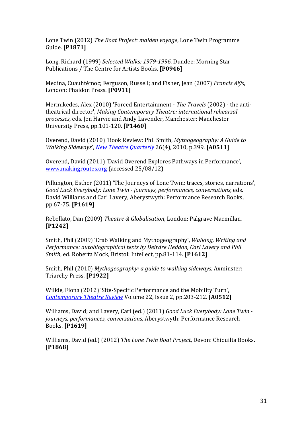Lone Twin (2012) The Boat Project: maiden voyage, Lone Twin Programme Guide.!**[P1871]**

Long, Richard (1999) Selected Walks: 1979-1996, Dundee: Morning Star Publications / The Centre for Artists Books. **[P0946]** 

Medina, Cuauhtémoc; Ferguson, Russell; and Fisher, Jean (2007) *Francis Alÿs*, London: Phaidon Press. [P0911]

Mermikedes, Alex (2010) 'Forced Entertainment - The Travels (2002) - the antitheatrical director', *Making Contemporary Theatre: international rehearsal processes*, eds. Jen Harvie and Andy Lavender, Manchester: Manchester University Press, pp.101-120. **[P1460]** 

Overend, David (2010) 'Book Review: Phil Smith, *Mythogeography: A Guide to Walking Sideways', <u>New Theatre Quarterly</u> 26(4), 2010, p.399.* [A0511]

Overend, David (2011) 'David Overend Explores Pathways in Performance', www.makingroutes.org (accessed  $25/08/12$ )

Pilkington, Esther (2011) 'The Journeys of Lone Twin: traces, stories, narrations'. *Good Luck Everybody: Lone Twin - journeys, performances, conversations, eds.* David Williams and Carl Lavery, Aberystwyth: Performance Research Books, pp.67-75. [P1619]

Rebellato, Dan (2009) *Theatre & Globalisation*, London: Palgrave Macmillan. **[P1242]**

Smith, Phil (2009) 'Crab Walking and Mythogeography', *Walking, Writing and Performance: autobiographical texts by Deirdre Heddon, Carl Lavery and Phil Smith, ed. Roberta Mock, Bristol: Intellect, pp.81-114.* [P1612]

Smith, Phil (2010) *Mythogeography: a guide to walking sideways*, Axminster: Triarchy!Press.!**[P1922]**

Wilkie, Fiona (2012) 'Site-Specific Performance and the Mobility Turn', **Contemporary Theatre Review Volume 22, Issue 2, pp.203-212. [A0512]** 

Williams, David; and Lavery, Carl (ed.) (2011) Good Luck Everybody: Lone Twin *journeys, performances, conversations*, Aberystwyth: Performance Research Books.!**[P1619]**

Williams, David (ed.) (2012) The Lone Twin Boat Project, Devon: Chiquilta Books. **[P1868]**